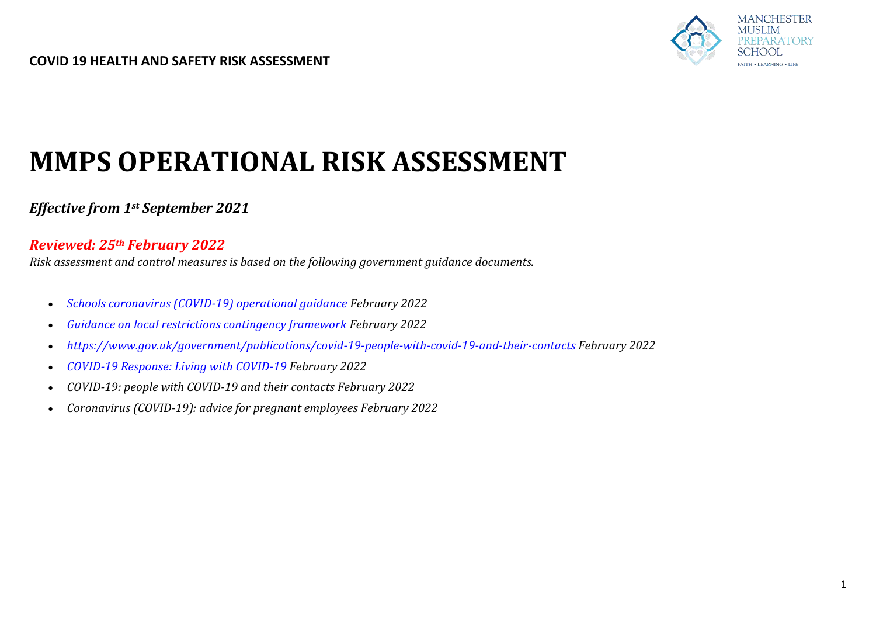

# **MMPS OPERATIONAL RISK ASSESSMENT**

# *Effective from 1st September 2021*

## *Reviewed: 25th February 2022*

*Risk assessment and control measures is based on the following government guidance documents.* 

- *[Schools coronavirus \(COVID-19\) operational guidance](https://www.gov.uk/government/publications/actions-for-schools-during-the-coronavirus-outbreak) February 2022*
- *[Guidance on local restrictions contingency framework](https://www.gov.uk/government/publications/coronavirus-covid-19-local-restrictions-in-education-and-childcare-settings) February 2022*
- *<https://www.gov.uk/government/publications/covid-19-people-with-covid-19-and-their-contacts>February 2022*
- *[COVID-19 Response: Living with COVID-19](https://www.gov.uk/government/publications/covid-19-response-living-with-covid-19) February 2022*
- *COVID-19: people with COVID-19 and their contacts February 2022*
- *Coronavirus (COVID-19): advice for pregnant employees February 2022*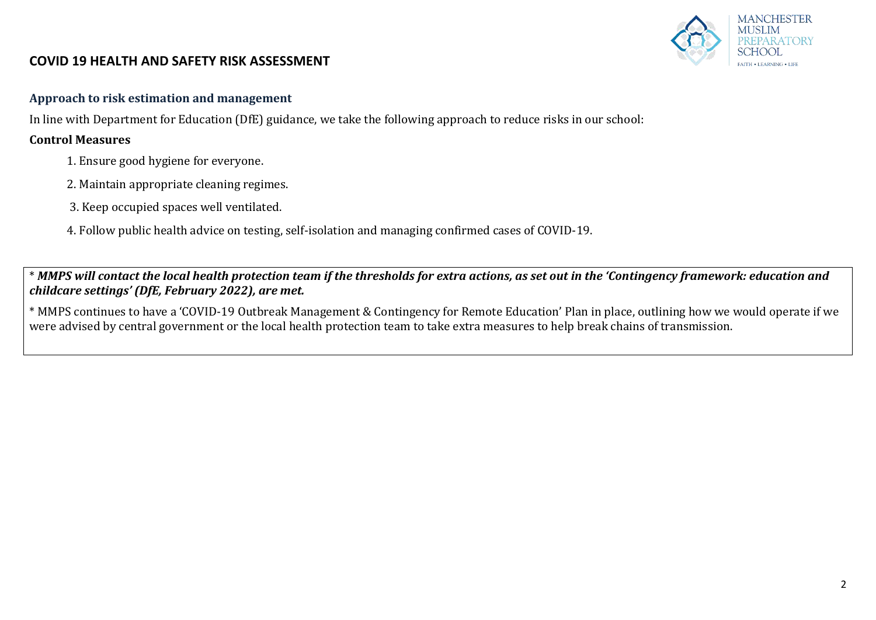#### **MANCHESTER** AUSLIM PARATORY AITH . I FARNING . LIFE

## **COVID 19 HEALTH AND SAFETY RISK ASSESSMENT**

#### **Approach to risk estimation and management**

In line with Department for Education (DfE) guidance, we take the following approach to reduce risks in our school:

#### **Control Measures**

- 1. Ensure good hygiene for everyone.
- 2. Maintain appropriate cleaning regimes.
- 3. Keep occupied spaces well ventilated.
- 4. Follow public health advice on testing, self-isolation and managing confirmed cases of COVID-19.

\* *MMPS will contact the local health protection team if the thresholds for extra actions, as set out in the 'Contingency framework: education and childcare settings' (DfE, February 2022), are met.*

\* MMPS continues to have a 'COVID-19 Outbreak Management & Contingency for Remote Education' Plan in place, outlining how we would operate if we were advised by central government or the local health protection team to take extra measures to help break chains of transmission.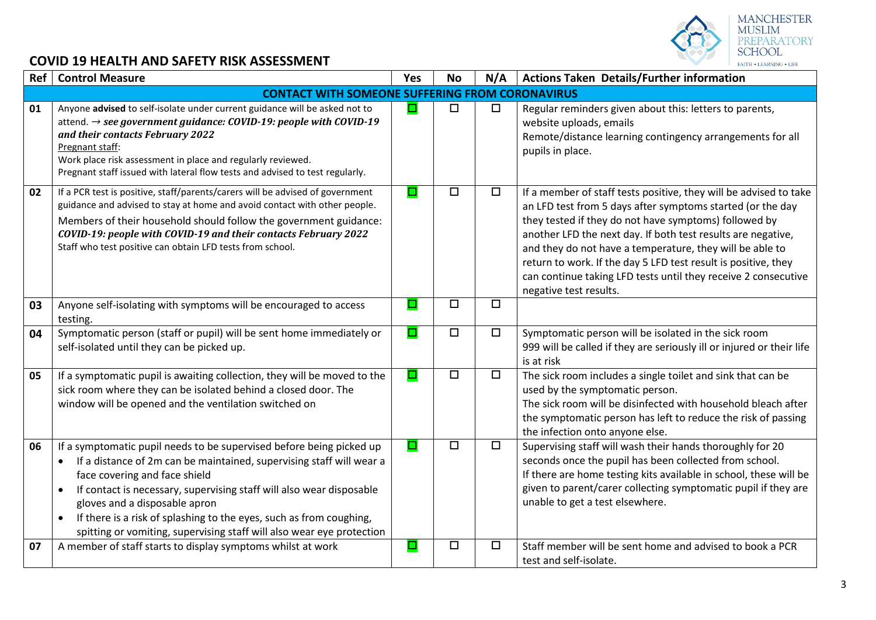

| Ref | <b>Control Measure</b>                                                                                                                                                                                                                                                                                                                                                                                                                                           | Yes    | <b>No</b> | N/A    | <b>Actions Taken Details/Further information</b>                                                                                                                                                                                                                                                                                                                                                                                                                                   |  |  |  |
|-----|------------------------------------------------------------------------------------------------------------------------------------------------------------------------------------------------------------------------------------------------------------------------------------------------------------------------------------------------------------------------------------------------------------------------------------------------------------------|--------|-----------|--------|------------------------------------------------------------------------------------------------------------------------------------------------------------------------------------------------------------------------------------------------------------------------------------------------------------------------------------------------------------------------------------------------------------------------------------------------------------------------------------|--|--|--|
|     | <b>CONTACT WITH SOMEONE SUFFERING FROM CORONAVIRUS</b>                                                                                                                                                                                                                                                                                                                                                                                                           |        |           |        |                                                                                                                                                                                                                                                                                                                                                                                                                                                                                    |  |  |  |
| 01  | Anyone advised to self-isolate under current guidance will be asked not to<br>attend. $\rightarrow$ see government guidance: COVID-19: people with COVID-19<br>and their contacts February 2022<br>Pregnant staff:<br>Work place risk assessment in place and regularly reviewed.<br>Pregnant staff issued with lateral flow tests and advised to test regularly.                                                                                                | $\Box$ | $\Box$    | $\Box$ | Regular reminders given about this: letters to parents,<br>website uploads, emails<br>Remote/distance learning contingency arrangements for all<br>pupils in place.                                                                                                                                                                                                                                                                                                                |  |  |  |
| 02  | If a PCR test is positive, staff/parents/carers will be advised of government<br>guidance and advised to stay at home and avoid contact with other people.<br>Members of their household should follow the government guidance:<br>COVID-19: people with COVID-19 and their contacts February 2022<br>Staff who test positive can obtain LFD tests from school.                                                                                                  | O      | $\Box$    | $\Box$ | If a member of staff tests positive, they will be advised to take<br>an LFD test from 5 days after symptoms started (or the day<br>they tested if they do not have symptoms) followed by<br>another LFD the next day. If both test results are negative,<br>and they do not have a temperature, they will be able to<br>return to work. If the day 5 LFD test result is positive, they<br>can continue taking LFD tests until they receive 2 consecutive<br>negative test results. |  |  |  |
| 03  | Anyone self-isolating with symptoms will be encouraged to access<br>testing.                                                                                                                                                                                                                                                                                                                                                                                     | ◘      | $\Box$    | $\Box$ |                                                                                                                                                                                                                                                                                                                                                                                                                                                                                    |  |  |  |
| 04  | Symptomatic person (staff or pupil) will be sent home immediately or<br>self-isolated until they can be picked up.                                                                                                                                                                                                                                                                                                                                               | ◘      | $\Box$    | $\Box$ | Symptomatic person will be isolated in the sick room<br>999 will be called if they are seriously ill or injured or their life<br>is at risk                                                                                                                                                                                                                                                                                                                                        |  |  |  |
| 05  | If a symptomatic pupil is awaiting collection, they will be moved to the<br>sick room where they can be isolated behind a closed door. The<br>window will be opened and the ventilation switched on                                                                                                                                                                                                                                                              | O      | $\Box$    | $\Box$ | The sick room includes a single toilet and sink that can be<br>used by the symptomatic person.<br>The sick room will be disinfected with household bleach after<br>the symptomatic person has left to reduce the risk of passing<br>the infection onto anyone else.                                                                                                                                                                                                                |  |  |  |
| 06  | If a symptomatic pupil needs to be supervised before being picked up<br>If a distance of 2m can be maintained, supervising staff will wear a<br>$\bullet$<br>face covering and face shield<br>If contact is necessary, supervising staff will also wear disposable<br>gloves and a disposable apron<br>If there is a risk of splashing to the eyes, such as from coughing,<br>$\bullet$<br>spitting or vomiting, supervising staff will also wear eye protection | O      | $\Box$    | $\Box$ | Supervising staff will wash their hands thoroughly for 20<br>seconds once the pupil has been collected from school.<br>If there are home testing kits available in school, these will be<br>given to parent/carer collecting symptomatic pupil if they are<br>unable to get a test elsewhere.                                                                                                                                                                                      |  |  |  |
| 07  | A member of staff starts to display symptoms whilst at work                                                                                                                                                                                                                                                                                                                                                                                                      | $\Box$ | $\Box$    | $\Box$ | Staff member will be sent home and advised to book a PCR<br>test and self-isolate.                                                                                                                                                                                                                                                                                                                                                                                                 |  |  |  |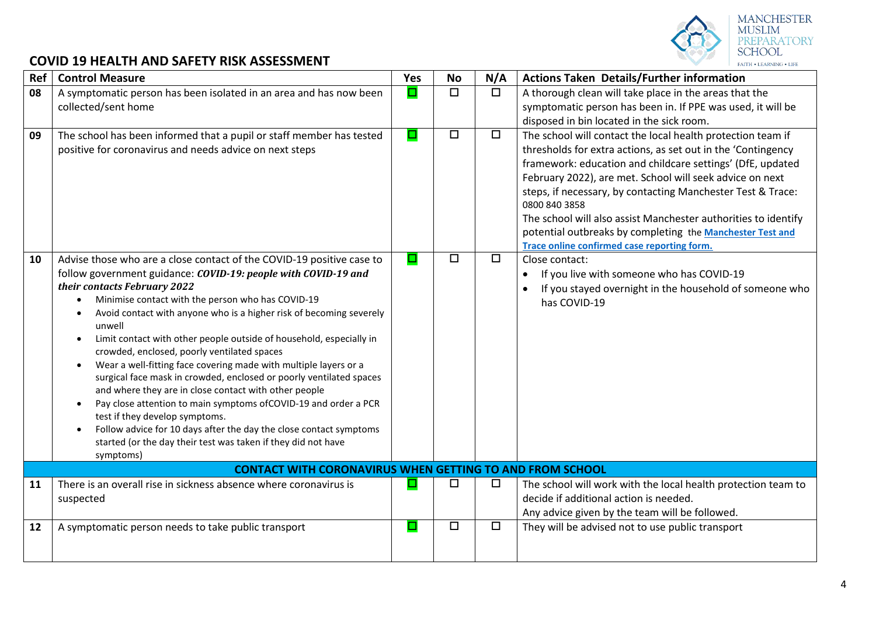

# MANCHESTER<br>MUSLIM<br>PREPARATORY<br>SCHOOL  $FAITH * LEARNING * LIE$

| Ref | <b>Control Measure</b>                                                                                                                                                                                                                                                                                                                                                                                                                                                                                                                                                                                                                                                                                                                                                                                                                                                                                                                                             | Yes    | <b>No</b> | N/A    | <b>Actions Taken Details/Further information</b>                                                                                                                                                                                                                                                                                                                                                                                                                                                                    |
|-----|--------------------------------------------------------------------------------------------------------------------------------------------------------------------------------------------------------------------------------------------------------------------------------------------------------------------------------------------------------------------------------------------------------------------------------------------------------------------------------------------------------------------------------------------------------------------------------------------------------------------------------------------------------------------------------------------------------------------------------------------------------------------------------------------------------------------------------------------------------------------------------------------------------------------------------------------------------------------|--------|-----------|--------|---------------------------------------------------------------------------------------------------------------------------------------------------------------------------------------------------------------------------------------------------------------------------------------------------------------------------------------------------------------------------------------------------------------------------------------------------------------------------------------------------------------------|
| 08  | A symptomatic person has been isolated in an area and has now been                                                                                                                                                                                                                                                                                                                                                                                                                                                                                                                                                                                                                                                                                                                                                                                                                                                                                                 | O      | $\Box$    | $\Box$ | A thorough clean will take place in the areas that the                                                                                                                                                                                                                                                                                                                                                                                                                                                              |
|     | collected/sent home                                                                                                                                                                                                                                                                                                                                                                                                                                                                                                                                                                                                                                                                                                                                                                                                                                                                                                                                                |        |           |        | symptomatic person has been in. If PPE was used, it will be                                                                                                                                                                                                                                                                                                                                                                                                                                                         |
|     |                                                                                                                                                                                                                                                                                                                                                                                                                                                                                                                                                                                                                                                                                                                                                                                                                                                                                                                                                                    | О      | $\Box$    | $\Box$ | disposed in bin located in the sick room.                                                                                                                                                                                                                                                                                                                                                                                                                                                                           |
| 09  | The school has been informed that a pupil or staff member has tested<br>positive for coronavirus and needs advice on next steps                                                                                                                                                                                                                                                                                                                                                                                                                                                                                                                                                                                                                                                                                                                                                                                                                                    |        |           |        | The school will contact the local health protection team if<br>thresholds for extra actions, as set out in the 'Contingency<br>framework: education and childcare settings' (DfE, updated<br>February 2022), are met. School will seek advice on next<br>steps, if necessary, by contacting Manchester Test & Trace:<br>0800 840 3858<br>The school will also assist Manchester authorities to identify<br>potential outbreaks by completing the Manchester Test and<br>Trace online confirmed case reporting form. |
| 10  | Advise those who are a close contact of the COVID-19 positive case to<br>follow government guidance: COVID-19: people with COVID-19 and<br>their contacts February 2022<br>Minimise contact with the person who has COVID-19<br>$\bullet$<br>Avoid contact with anyone who is a higher risk of becoming severely<br>$\bullet$<br>unwell<br>Limit contact with other people outside of household, especially in<br>$\bullet$<br>crowded, enclosed, poorly ventilated spaces<br>Wear a well-fitting face covering made with multiple layers or a<br>$\bullet$<br>surgical face mask in crowded, enclosed or poorly ventilated spaces<br>and where they are in close contact with other people<br>Pay close attention to main symptoms of COVID-19 and order a PCR<br>$\bullet$<br>test if they develop symptoms.<br>Follow advice for 10 days after the day the close contact symptoms<br>started (or the day their test was taken if they did not have<br>symptoms) | $\Box$ | $\Box$    | $\Box$ | Close contact:<br>If you live with someone who has COVID-19<br>If you stayed overnight in the household of someone who<br>has COVID-19                                                                                                                                                                                                                                                                                                                                                                              |
|     | <b>CONTACT WITH CORONAVIRUS WHEN GETTING TO AND FROM SCHOOL</b>                                                                                                                                                                                                                                                                                                                                                                                                                                                                                                                                                                                                                                                                                                                                                                                                                                                                                                    |        |           |        |                                                                                                                                                                                                                                                                                                                                                                                                                                                                                                                     |
| 11  | There is an overall rise in sickness absence where coronavirus is<br>suspected                                                                                                                                                                                                                                                                                                                                                                                                                                                                                                                                                                                                                                                                                                                                                                                                                                                                                     |        | □         | □      | The school will work with the local health protection team to<br>decide if additional action is needed.<br>Any advice given by the team will be followed.                                                                                                                                                                                                                                                                                                                                                           |
| 12  | A symptomatic person needs to take public transport                                                                                                                                                                                                                                                                                                                                                                                                                                                                                                                                                                                                                                                                                                                                                                                                                                                                                                                | ◘      | $\Box$    | $\Box$ | They will be advised not to use public transport                                                                                                                                                                                                                                                                                                                                                                                                                                                                    |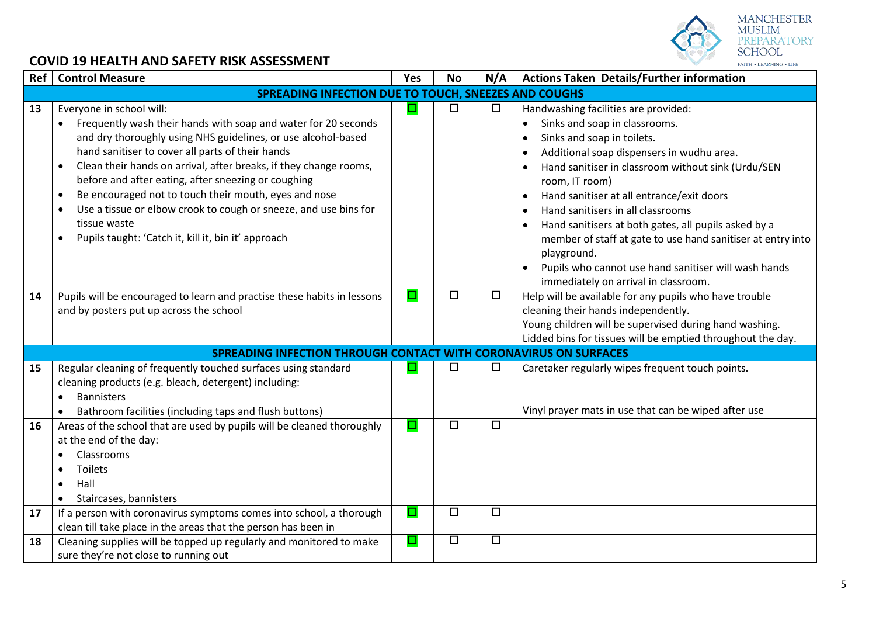

| Ref      | <b>Control Measure</b>                                                                                                                                                                                                                                                                                                                                                                                                                                                                                                                                       | Yes              | <b>No</b>        | N/A              | Actions Taken Details/Further information                                                                                                                                                                                                                                                                                                                                                                                                                                                                                                                                                                         |  |  |  |
|----------|--------------------------------------------------------------------------------------------------------------------------------------------------------------------------------------------------------------------------------------------------------------------------------------------------------------------------------------------------------------------------------------------------------------------------------------------------------------------------------------------------------------------------------------------------------------|------------------|------------------|------------------|-------------------------------------------------------------------------------------------------------------------------------------------------------------------------------------------------------------------------------------------------------------------------------------------------------------------------------------------------------------------------------------------------------------------------------------------------------------------------------------------------------------------------------------------------------------------------------------------------------------------|--|--|--|
|          | SPREADING INFECTION DUE TO TOUCH, SNEEZES AND COUGHS                                                                                                                                                                                                                                                                                                                                                                                                                                                                                                         |                  |                  |                  |                                                                                                                                                                                                                                                                                                                                                                                                                                                                                                                                                                                                                   |  |  |  |
| 13       | Everyone in school will:<br>Frequently wash their hands with soap and water for 20 seconds<br>$\bullet$<br>and dry thoroughly using NHS guidelines, or use alcohol-based<br>hand sanitiser to cover all parts of their hands<br>Clean their hands on arrival, after breaks, if they change rooms,<br>before and after eating, after sneezing or coughing<br>Be encouraged not to touch their mouth, eyes and nose<br>Use a tissue or elbow crook to cough or sneeze, and use bins for<br>tissue waste<br>Pupils taught: 'Catch it, kill it, bin it' approach | ◘                | $\Box$           | $\Box$           | Handwashing facilities are provided:<br>Sinks and soap in classrooms.<br>Sinks and soap in toilets.<br>$\bullet$<br>Additional soap dispensers in wudhu area.<br>$\bullet$<br>Hand sanitiser in classroom without sink (Urdu/SEN<br>room, IT room)<br>Hand sanitiser at all entrance/exit doors<br>$\bullet$<br>Hand sanitisers in all classrooms<br>$\bullet$<br>Hand sanitisers at both gates, all pupils asked by a<br>$\bullet$<br>member of staff at gate to use hand sanitiser at entry into<br>playground.<br>Pupils who cannot use hand sanitiser will wash hands<br>immediately on arrival in classroom. |  |  |  |
| 14       | Pupils will be encouraged to learn and practise these habits in lessons<br>and by posters put up across the school                                                                                                                                                                                                                                                                                                                                                                                                                                           | $\Box$           | $\Box$           | $\Box$           | Help will be available for any pupils who have trouble<br>cleaning their hands independently.<br>Young children will be supervised during hand washing.<br>Lidded bins for tissues will be emptied throughout the day.                                                                                                                                                                                                                                                                                                                                                                                            |  |  |  |
|          | <b>SPREADING INFECTION THROUGH CONTACT WITH CORONAVIRUS ON SURFACES</b>                                                                                                                                                                                                                                                                                                                                                                                                                                                                                      |                  |                  |                  |                                                                                                                                                                                                                                                                                                                                                                                                                                                                                                                                                                                                                   |  |  |  |
| 15       | Regular cleaning of frequently touched surfaces using standard<br>cleaning products (e.g. bleach, detergent) including:<br><b>Bannisters</b><br>$\bullet$<br>Bathroom facilities (including taps and flush buttons)                                                                                                                                                                                                                                                                                                                                          |                  | □                | □                | Caretaker regularly wipes frequent touch points.<br>Vinyl prayer mats in use that can be wiped after use                                                                                                                                                                                                                                                                                                                                                                                                                                                                                                          |  |  |  |
| 16<br>17 | Areas of the school that are used by pupils will be cleaned thoroughly<br>at the end of the day:<br>Classrooms<br><b>Toilets</b><br>Hall<br>Staircases, bannisters<br>If a person with coronavirus symptoms comes into school, a thorough                                                                                                                                                                                                                                                                                                                    | $\Box$<br>$\Box$ | $\Box$<br>$\Box$ | $\Box$<br>$\Box$ |                                                                                                                                                                                                                                                                                                                                                                                                                                                                                                                                                                                                                   |  |  |  |
| 18       | clean till take place in the areas that the person has been in<br>Cleaning supplies will be topped up regularly and monitored to make                                                                                                                                                                                                                                                                                                                                                                                                                        | о                | $\Box$           | $\Box$           |                                                                                                                                                                                                                                                                                                                                                                                                                                                                                                                                                                                                                   |  |  |  |
|          | sure they're not close to running out                                                                                                                                                                                                                                                                                                                                                                                                                                                                                                                        |                  |                  |                  |                                                                                                                                                                                                                                                                                                                                                                                                                                                                                                                                                                                                                   |  |  |  |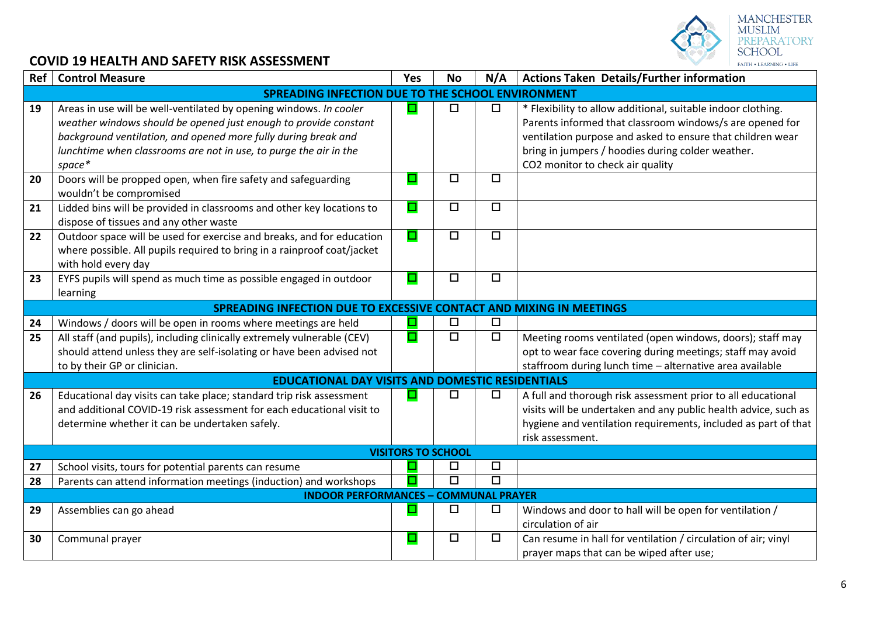

| Ref | <b>Control Measure</b>                                                                                                                                                                                                                                                                  | Yes    | <b>No</b> | N/A                  | <b>Actions Taken Details/Further information</b>                                                                                                                                                                                                                                |  |  |  |  |
|-----|-----------------------------------------------------------------------------------------------------------------------------------------------------------------------------------------------------------------------------------------------------------------------------------------|--------|-----------|----------------------|---------------------------------------------------------------------------------------------------------------------------------------------------------------------------------------------------------------------------------------------------------------------------------|--|--|--|--|
|     | <b>SPREADING INFECTION DUE TO THE SCHOOL ENVIRONMENT</b>                                                                                                                                                                                                                                |        |           |                      |                                                                                                                                                                                                                                                                                 |  |  |  |  |
| 19  | Areas in use will be well-ventilated by opening windows. In cooler<br>weather windows should be opened just enough to provide constant<br>background ventilation, and opened more fully during break and<br>lunchtime when classrooms are not in use, to purge the air in the<br>space* | ⊑      | $\Box$    | $\Box$               | * Flexibility to allow additional, suitable indoor clothing.<br>Parents informed that classroom windows/s are opened for<br>ventilation purpose and asked to ensure that children wear<br>bring in jumpers / hoodies during colder weather.<br>CO2 monitor to check air quality |  |  |  |  |
| 20  | Doors will be propped open, when fire safety and safeguarding<br>wouldn't be compromised                                                                                                                                                                                                | ◘      | $\Box$    | $\Box$               |                                                                                                                                                                                                                                                                                 |  |  |  |  |
| 21  | Lidded bins will be provided in classrooms and other key locations to<br>dispose of tissues and any other waste                                                                                                                                                                         | $\Box$ | $\Box$    | $\Box$               |                                                                                                                                                                                                                                                                                 |  |  |  |  |
| 22  | Outdoor space will be used for exercise and breaks, and for education<br>where possible. All pupils required to bring in a rainproof coat/jacket<br>with hold every day                                                                                                                 | $\Box$ | $\Box$    | $\overline{\Box}$    |                                                                                                                                                                                                                                                                                 |  |  |  |  |
| 23  | EYFS pupils will spend as much time as possible engaged in outdoor<br>learning                                                                                                                                                                                                          | ◘      | $\Box$    | $\Box$               |                                                                                                                                                                                                                                                                                 |  |  |  |  |
|     | SPREADING INFECTION DUE TO EXCESSIVE CONTACT AND MIXING IN MEETINGS                                                                                                                                                                                                                     |        |           |                      |                                                                                                                                                                                                                                                                                 |  |  |  |  |
| 24  | Windows / doors will be open in rooms where meetings are held                                                                                                                                                                                                                           | Е      | $\Box$    | $\Box$               |                                                                                                                                                                                                                                                                                 |  |  |  |  |
| 25  | All staff (and pupils), including clinically extremely vulnerable (CEV)<br>should attend unless they are self-isolating or have been advised not<br>to by their GP or clinician.                                                                                                        | o      | $\Box$    | $\overline{\square}$ | Meeting rooms ventilated (open windows, doors); staff may<br>opt to wear face covering during meetings; staff may avoid<br>staffroom during lunch time - alternative area available                                                                                             |  |  |  |  |
|     | <b>EDUCATIONAL DAY VISITS AND DOMESTIC RESIDENTIALS</b>                                                                                                                                                                                                                                 |        |           |                      |                                                                                                                                                                                                                                                                                 |  |  |  |  |
| 26  | Educational day visits can take place; standard trip risk assessment<br>and additional COVID-19 risk assessment for each educational visit to<br>determine whether it can be undertaken safely.                                                                                         | ▣      | $\Box$    | □                    | A full and thorough risk assessment prior to all educational<br>visits will be undertaken and any public health advice, such as<br>hygiene and ventilation requirements, included as part of that<br>risk assessment.                                                           |  |  |  |  |
|     | <b>VISITORS TO SCHOOL</b>                                                                                                                                                                                                                                                               |        |           |                      |                                                                                                                                                                                                                                                                                 |  |  |  |  |
| 27  | School visits, tours for potential parents can resume                                                                                                                                                                                                                                   |        | $\Box$    | $\Box$               |                                                                                                                                                                                                                                                                                 |  |  |  |  |
| 28  | Parents can attend information meetings (induction) and workshops                                                                                                                                                                                                                       |        | $\Box$    | $\Box$               |                                                                                                                                                                                                                                                                                 |  |  |  |  |
|     | <b>INDOOR PERFORMANCES - COMMUNAL PRAYER</b>                                                                                                                                                                                                                                            |        |           |                      |                                                                                                                                                                                                                                                                                 |  |  |  |  |
| 29  | Assemblies can go ahead                                                                                                                                                                                                                                                                 | $\Box$ | □         | $\Box$               | Windows and door to hall will be open for ventilation /<br>circulation of air                                                                                                                                                                                                   |  |  |  |  |
| 30  | Communal prayer                                                                                                                                                                                                                                                                         | $\Box$ | $\Box$    | $\Box$               | Can resume in hall for ventilation / circulation of air; vinyl<br>prayer maps that can be wiped after use;                                                                                                                                                                      |  |  |  |  |